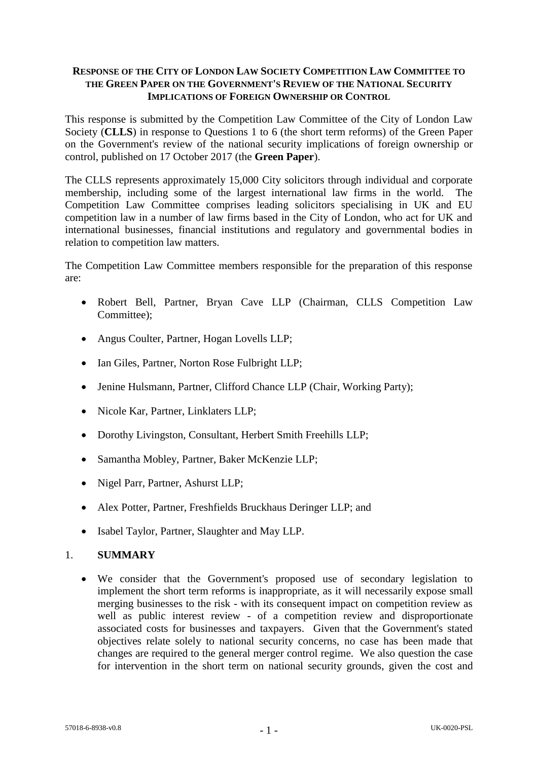### **RESPONSE OF THE CITY OF LONDON LAW SOCIETY COMPETITION LAW COMMITTEE TO THE GREEN PAPER ON THE GOVERNMENT'S REVIEW OF THE NATIONAL SECURITY IMPLICATIONS OF FOREIGN OWNERSHIP OR CONTROL**

This response is submitted by the Competition Law Committee of the City of London Law Society (**CLLS**) in response to Questions 1 to 6 (the short term reforms) of the Green Paper on the Government's review of the national security implications of foreign ownership or control, published on 17 October 2017 (the **Green Paper**).

The CLLS represents approximately 15,000 City solicitors through individual and corporate membership, including some of the largest international law firms in the world. The Competition Law Committee comprises leading solicitors specialising in UK and EU competition law in a number of law firms based in the City of London, who act for UK and international businesses, financial institutions and regulatory and governmental bodies in relation to competition law matters.

The Competition Law Committee members responsible for the preparation of this response are:

- Robert Bell, Partner, Bryan Cave LLP (Chairman, CLLS Competition Law Committee);
- Angus Coulter, Partner, Hogan Lovells LLP;
- Ian Giles, Partner, Norton Rose Fulbright LLP:
- Jenine Hulsmann, Partner, Clifford Chance LLP (Chair, Working Party);
- Nicole Kar, Partner, Linklaters LLP;
- Dorothy Livingston, Consultant, Herbert Smith Freehills LLP;
- Samantha Mobley, Partner, Baker McKenzie LLP;
- Nigel Parr, Partner, Ashurst LLP:
- Alex Potter, Partner, Freshfields Bruckhaus Deringer LLP; and
- Isabel Taylor, Partner, Slaughter and May LLP.

# 1. **SUMMARY**

 We consider that the Government's proposed use of secondary legislation to implement the short term reforms is inappropriate, as it will necessarily expose small merging businesses to the risk - with its consequent impact on competition review as well as public interest review - of a competition review and disproportionate associated costs for businesses and taxpayers. Given that the Government's stated objectives relate solely to national security concerns, no case has been made that changes are required to the general merger control regime. We also question the case for intervention in the short term on national security grounds, given the cost and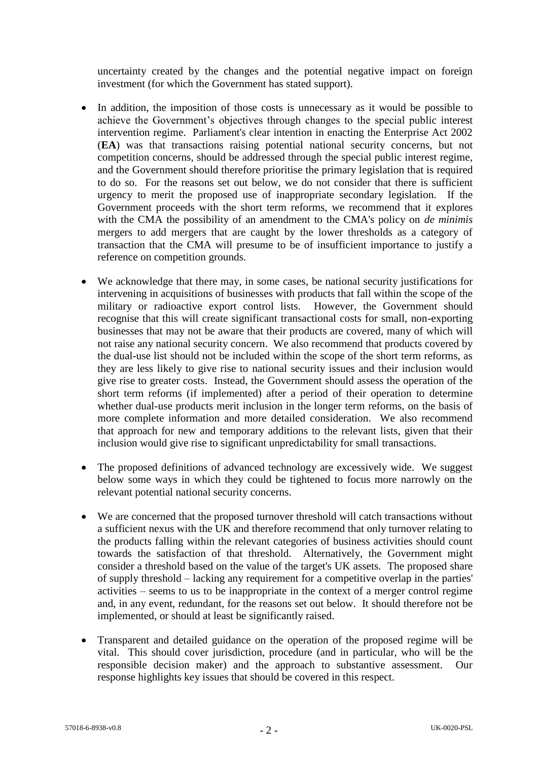uncertainty created by the changes and the potential negative impact on foreign investment (for which the Government has stated support).

- In addition, the imposition of those costs is unnecessary as it would be possible to achieve the Government's objectives through changes to the special public interest intervention regime. Parliament's clear intention in enacting the Enterprise Act 2002 (**EA**) was that transactions raising potential national security concerns, but not competition concerns, should be addressed through the special public interest regime, and the Government should therefore prioritise the primary legislation that is required to do so. For the reasons set out below, we do not consider that there is sufficient urgency to merit the proposed use of inappropriate secondary legislation. If the Government proceeds with the short term reforms, we recommend that it explores with the CMA the possibility of an amendment to the CMA's policy on *de minimis* mergers to add mergers that are caught by the lower thresholds as a category of transaction that the CMA will presume to be of insufficient importance to justify a reference on competition grounds.
- We acknowledge that there may, in some cases, be national security justifications for intervening in acquisitions of businesses with products that fall within the scope of the military or radioactive export control lists. However, the Government should recognise that this will create significant transactional costs for small, non-exporting businesses that may not be aware that their products are covered, many of which will not raise any national security concern. We also recommend that products covered by the dual-use list should not be included within the scope of the short term reforms, as they are less likely to give rise to national security issues and their inclusion would give rise to greater costs. Instead, the Government should assess the operation of the short term reforms (if implemented) after a period of their operation to determine whether dual-use products merit inclusion in the longer term reforms, on the basis of more complete information and more detailed consideration. We also recommend that approach for new and temporary additions to the relevant lists, given that their inclusion would give rise to significant unpredictability for small transactions.
- The proposed definitions of advanced technology are excessively wide. We suggest below some ways in which they could be tightened to focus more narrowly on the relevant potential national security concerns.
- We are concerned that the proposed turnover threshold will catch transactions without a sufficient nexus with the UK and therefore recommend that only turnover relating to the products falling within the relevant categories of business activities should count towards the satisfaction of that threshold. Alternatively, the Government might consider a threshold based on the value of the target's UK assets. The proposed share of supply threshold – lacking any requirement for a competitive overlap in the parties' activities – seems to us to be inappropriate in the context of a merger control regime and, in any event, redundant, for the reasons set out below. It should therefore not be implemented, or should at least be significantly raised.
- Transparent and detailed guidance on the operation of the proposed regime will be vital. This should cover jurisdiction, procedure (and in particular, who will be the responsible decision maker) and the approach to substantive assessment. Our response highlights key issues that should be covered in this respect.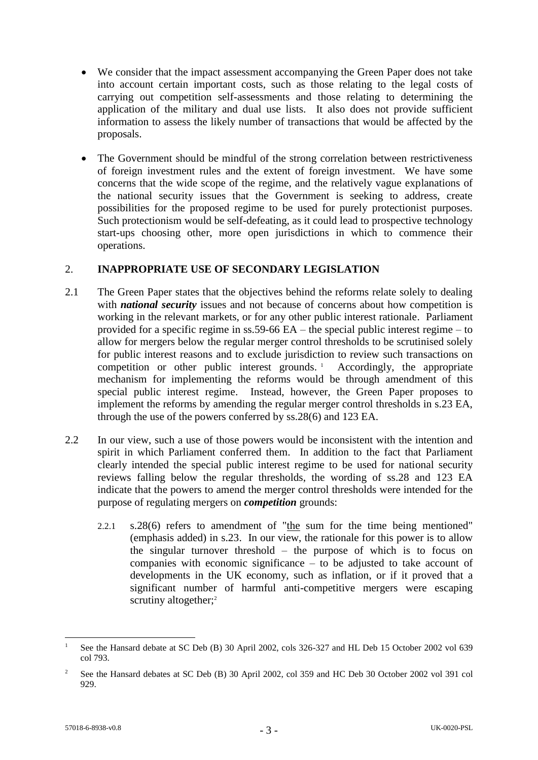- We consider that the impact assessment accompanying the Green Paper does not take into account certain important costs, such as those relating to the legal costs of carrying out competition self-assessments and those relating to determining the application of the military and dual use lists. It also does not provide sufficient information to assess the likely number of transactions that would be affected by the proposals.
- The Government should be mindful of the strong correlation between restrictiveness of foreign investment rules and the extent of foreign investment. We have some concerns that the wide scope of the regime, and the relatively vague explanations of the national security issues that the Government is seeking to address, create possibilities for the proposed regime to be used for purely protectionist purposes. Such protectionism would be self-defeating, as it could lead to prospective technology start-ups choosing other, more open jurisdictions in which to commence their operations.

# 2. **INAPPROPRIATE USE OF SECONDARY LEGISLATION**

- 2.1 The Green Paper states that the objectives behind the reforms relate solely to dealing with *national security* issues and not because of concerns about how competition is working in the relevant markets, or for any other public interest rationale. Parliament provided for a specific regime in ss.59-66 EA – the special public interest regime – to allow for mergers below the regular merger control thresholds to be scrutinised solely for public interest reasons and to exclude jurisdiction to review such transactions on competition or other public interest grounds.<sup>1</sup> Accordingly, the appropriate mechanism for implementing the reforms would be through amendment of this special public interest regime. Instead, however, the Green Paper proposes to implement the reforms by amending the regular merger control thresholds in s.23 EA, through the use of the powers conferred by ss.28(6) and 123 EA.
- 2.2 In our view, such a use of those powers would be inconsistent with the intention and spirit in which Parliament conferred them. In addition to the fact that Parliament clearly intended the special public interest regime to be used for national security reviews falling below the regular thresholds, the wording of ss.28 and 123 EA indicate that the powers to amend the merger control thresholds were intended for the purpose of regulating mergers on *competition* grounds:
	- 2.2.1 s.28(6) refers to amendment of "the sum for the time being mentioned" (emphasis added) in s.23. In our view, the rationale for this power is to allow the singular turnover threshold – the purpose of which is to focus on companies with economic significance – to be adjusted to take account of developments in the UK economy, such as inflation, or if it proved that a significant number of harmful anti-competitive mergers were escaping scrutiny altogether;<sup>2</sup>

1

See the Hansard debate at SC Deb (B) 30 April 2002, cols 326-327 and HL Deb 15 October 2002 vol 639 col 793.

<sup>&</sup>lt;sup>2</sup> See the Hansard debates at SC Deb (B) 30 April 2002, col 359 and HC Deb 30 October 2002 vol 391 col 929.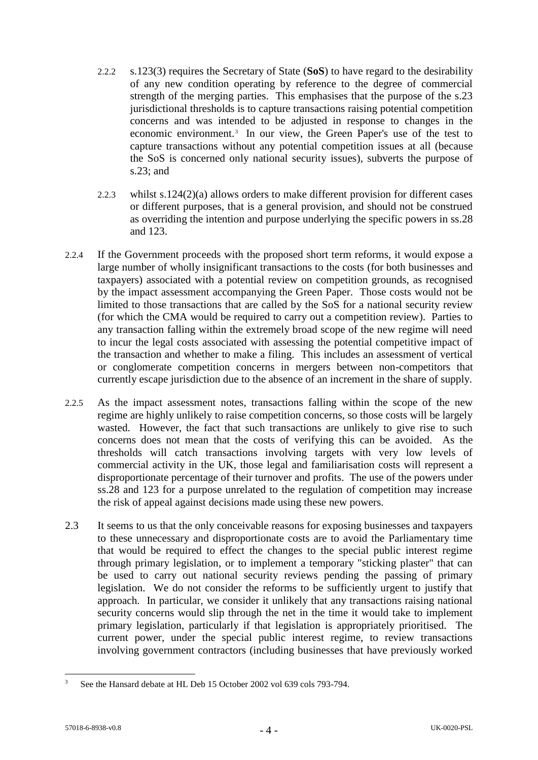- 2.2.2 s.123(3) requires the Secretary of State (**SoS**) to have regard to the desirability of any new condition operating by reference to the degree of commercial strength of the merging parties. This emphasises that the purpose of the s.23 jurisdictional thresholds is to capture transactions raising potential competition concerns and was intended to be adjusted in response to changes in the economic environment. 3 In our view, the Green Paper's use of the test to capture transactions without any potential competition issues at all (because the SoS is concerned only national security issues), subverts the purpose of s.23; and
- 2.2.3 whilst s.124(2)(a) allows orders to make different provision for different cases or different purposes, that is a general provision, and should not be construed as overriding the intention and purpose underlying the specific powers in ss.28 and 123.
- 2.2.4 If the Government proceeds with the proposed short term reforms, it would expose a large number of wholly insignificant transactions to the costs (for both businesses and taxpayers) associated with a potential review on competition grounds, as recognised by the impact assessment accompanying the Green Paper. Those costs would not be limited to those transactions that are called by the SoS for a national security review (for which the CMA would be required to carry out a competition review). Parties to any transaction falling within the extremely broad scope of the new regime will need to incur the legal costs associated with assessing the potential competitive impact of the transaction and whether to make a filing. This includes an assessment of vertical or conglomerate competition concerns in mergers between non-competitors that currently escape jurisdiction due to the absence of an increment in the share of supply.
- 2.2.5 As the impact assessment notes, transactions falling within the scope of the new regime are highly unlikely to raise competition concerns, so those costs will be largely wasted. However, the fact that such transactions are unlikely to give rise to such concerns does not mean that the costs of verifying this can be avoided. As the thresholds will catch transactions involving targets with very low levels of commercial activity in the UK, those legal and familiarisation costs will represent a disproportionate percentage of their turnover and profits. The use of the powers under ss.28 and 123 for a purpose unrelated to the regulation of competition may increase the risk of appeal against decisions made using these new powers.
- 2.3 It seems to us that the only conceivable reasons for exposing businesses and taxpayers to these unnecessary and disproportionate costs are to avoid the Parliamentary time that would be required to effect the changes to the special public interest regime through primary legislation, or to implement a temporary "sticking plaster" that can be used to carry out national security reviews pending the passing of primary legislation. We do not consider the reforms to be sufficiently urgent to justify that approach. In particular, we consider it unlikely that any transactions raising national security concerns would slip through the net in the time it would take to implement primary legislation, particularly if that legislation is appropriately prioritised. The current power, under the special public interest regime, to review transactions involving government contractors (including businesses that have previously worked

 $\overline{\mathbf{3}}$ <sup>3</sup> See the Hansard debate at HL Deb 15 October 2002 vol 639 cols 793-794.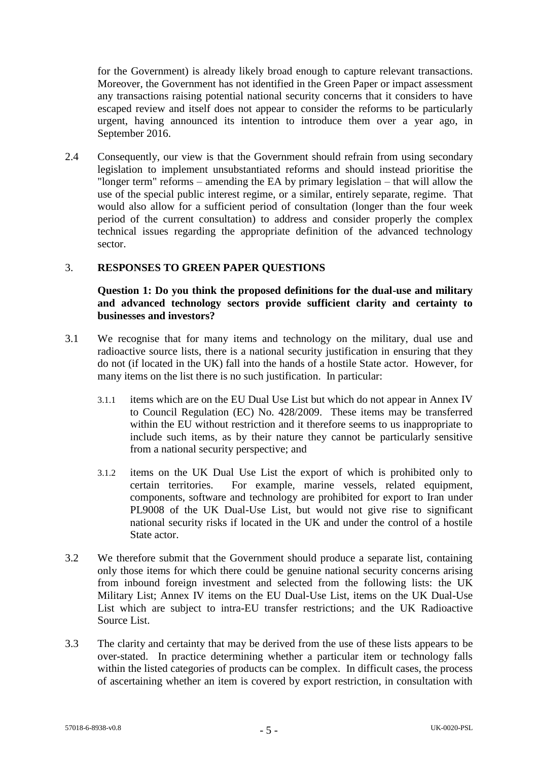for the Government) is already likely broad enough to capture relevant transactions. Moreover, the Government has not identified in the Green Paper or impact assessment any transactions raising potential national security concerns that it considers to have escaped review and itself does not appear to consider the reforms to be particularly urgent, having announced its intention to introduce them over a year ago, in September 2016.

2.4 Consequently, our view is that the Government should refrain from using secondary legislation to implement unsubstantiated reforms and should instead prioritise the "longer term" reforms – amending the EA by primary legislation – that will allow the use of the special public interest regime, or a similar, entirely separate, regime. That would also allow for a sufficient period of consultation (longer than the four week period of the current consultation) to address and consider properly the complex technical issues regarding the appropriate definition of the advanced technology sector.

### 3. **RESPONSES TO GREEN PAPER QUESTIONS**

### **Question 1: Do you think the proposed definitions for the dual-use and military and advanced technology sectors provide sufficient clarity and certainty to businesses and investors?**

- 3.1 We recognise that for many items and technology on the military, dual use and radioactive source lists, there is a national security justification in ensuring that they do not (if located in the UK) fall into the hands of a hostile State actor. However, for many items on the list there is no such justification. In particular:
	- 3.1.1 items which are on the EU Dual Use List but which do not appear in Annex IV to Council Regulation (EC) No. 428/2009. These items may be transferred within the EU without restriction and it therefore seems to us inappropriate to include such items, as by their nature they cannot be particularly sensitive from a national security perspective; and
	- 3.1.2 items on the UK Dual Use List the export of which is prohibited only to certain territories. For example, marine vessels, related equipment, components, software and technology are prohibited for export to Iran under PL9008 of the UK Dual-Use List, but would not give rise to significant national security risks if located in the UK and under the control of a hostile State actor.
- 3.2 We therefore submit that the Government should produce a separate list, containing only those items for which there could be genuine national security concerns arising from inbound foreign investment and selected from the following lists: the UK Military List; Annex IV items on the EU Dual-Use List, items on the UK Dual-Use List which are subject to intra-EU transfer restrictions; and the UK Radioactive Source List.
- 3.3 The clarity and certainty that may be derived from the use of these lists appears to be over-stated. In practice determining whether a particular item or technology falls within the listed categories of products can be complex. In difficult cases, the process of ascertaining whether an item is covered by export restriction, in consultation with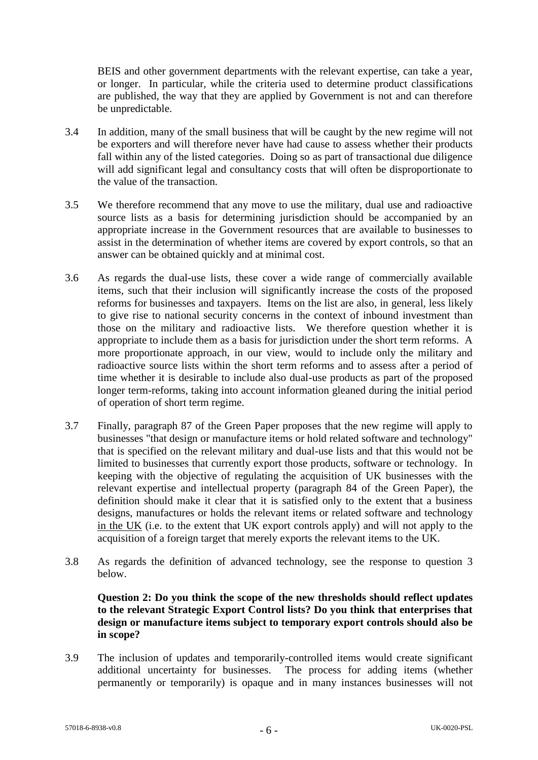BEIS and other government departments with the relevant expertise, can take a year, or longer. In particular, while the criteria used to determine product classifications are published, the way that they are applied by Government is not and can therefore be unpredictable.

- 3.4 In addition, many of the small business that will be caught by the new regime will not be exporters and will therefore never have had cause to assess whether their products fall within any of the listed categories. Doing so as part of transactional due diligence will add significant legal and consultancy costs that will often be disproportionate to the value of the transaction.
- 3.5 We therefore recommend that any move to use the military, dual use and radioactive source lists as a basis for determining jurisdiction should be accompanied by an appropriate increase in the Government resources that are available to businesses to assist in the determination of whether items are covered by export controls, so that an answer can be obtained quickly and at minimal cost.
- 3.6 As regards the dual-use lists, these cover a wide range of commercially available items, such that their inclusion will significantly increase the costs of the proposed reforms for businesses and taxpayers. Items on the list are also, in general, less likely to give rise to national security concerns in the context of inbound investment than those on the military and radioactive lists. We therefore question whether it is appropriate to include them as a basis for jurisdiction under the short term reforms. A more proportionate approach, in our view, would to include only the military and radioactive source lists within the short term reforms and to assess after a period of time whether it is desirable to include also dual-use products as part of the proposed longer term-reforms, taking into account information gleaned during the initial period of operation of short term regime.
- 3.7 Finally, paragraph 87 of the Green Paper proposes that the new regime will apply to businesses "that design or manufacture items or hold related software and technology" that is specified on the relevant military and dual-use lists and that this would not be limited to businesses that currently export those products, software or technology. In keeping with the objective of regulating the acquisition of UK businesses with the relevant expertise and intellectual property (paragraph 84 of the Green Paper), the definition should make it clear that it is satisfied only to the extent that a business designs, manufactures or holds the relevant items or related software and technology in the UK (i.e. to the extent that UK export controls apply) and will not apply to the acquisition of a foreign target that merely exports the relevant items to the UK.
- 3.8 As regards the definition of advanced technology, see the response to question 3 below.

### **Question 2: Do you think the scope of the new thresholds should reflect updates to the relevant Strategic Export Control lists? Do you think that enterprises that design or manufacture items subject to temporary export controls should also be in scope?**

3.9 The inclusion of updates and temporarily-controlled items would create significant additional uncertainty for businesses. The process for adding items (whether permanently or temporarily) is opaque and in many instances businesses will not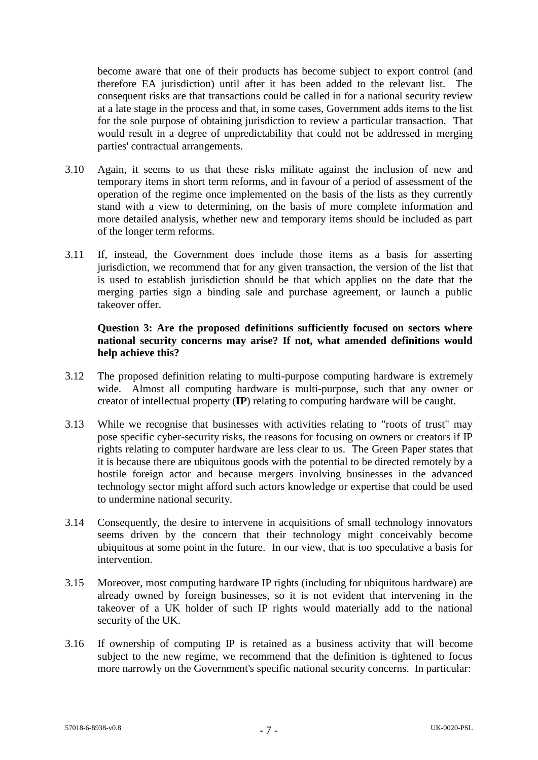become aware that one of their products has become subject to export control (and therefore EA jurisdiction) until after it has been added to the relevant list. The consequent risks are that transactions could be called in for a national security review at a late stage in the process and that, in some cases, Government adds items to the list for the sole purpose of obtaining jurisdiction to review a particular transaction. That would result in a degree of unpredictability that could not be addressed in merging parties' contractual arrangements.

- 3.10 Again, it seems to us that these risks militate against the inclusion of new and temporary items in short term reforms, and in favour of a period of assessment of the operation of the regime once implemented on the basis of the lists as they currently stand with a view to determining, on the basis of more complete information and more detailed analysis, whether new and temporary items should be included as part of the longer term reforms.
- 3.11 If, instead, the Government does include those items as a basis for asserting jurisdiction, we recommend that for any given transaction, the version of the list that is used to establish jurisdiction should be that which applies on the date that the merging parties sign a binding sale and purchase agreement, or launch a public takeover offer.

### **Question 3: Are the proposed definitions sufficiently focused on sectors where national security concerns may arise? If not, what amended definitions would help achieve this?**

- 3.12 The proposed definition relating to multi-purpose computing hardware is extremely wide. Almost all computing hardware is multi-purpose, such that any owner or creator of intellectual property (**IP**) relating to computing hardware will be caught.
- 3.13 While we recognise that businesses with activities relating to "roots of trust" may pose specific cyber-security risks, the reasons for focusing on owners or creators if IP rights relating to computer hardware are less clear to us. The Green Paper states that it is because there are ubiquitous goods with the potential to be directed remotely by a hostile foreign actor and because mergers involving businesses in the advanced technology sector might afford such actors knowledge or expertise that could be used to undermine national security.
- 3.14 Consequently, the desire to intervene in acquisitions of small technology innovators seems driven by the concern that their technology might conceivably become ubiquitous at some point in the future. In our view, that is too speculative a basis for intervention.
- 3.15 Moreover, most computing hardware IP rights (including for ubiquitous hardware) are already owned by foreign businesses, so it is not evident that intervening in the takeover of a UK holder of such IP rights would materially add to the national security of the UK.
- 3.16 If ownership of computing IP is retained as a business activity that will become subject to the new regime, we recommend that the definition is tightened to focus more narrowly on the Government's specific national security concerns. In particular: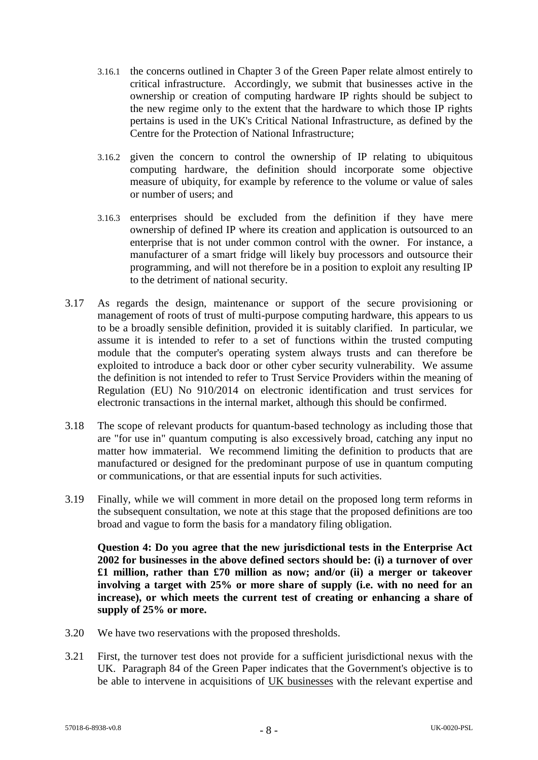- 3.16.1 the concerns outlined in Chapter 3 of the Green Paper relate almost entirely to critical infrastructure. Accordingly, we submit that businesses active in the ownership or creation of computing hardware IP rights should be subject to the new regime only to the extent that the hardware to which those IP rights pertains is used in the UK's Critical National Infrastructure, as defined by the Centre for the Protection of National Infrastructure;
- 3.16.2 given the concern to control the ownership of IP relating to ubiquitous computing hardware, the definition should incorporate some objective measure of ubiquity, for example by reference to the volume or value of sales or number of users; and
- 3.16.3 enterprises should be excluded from the definition if they have mere ownership of defined IP where its creation and application is outsourced to an enterprise that is not under common control with the owner. For instance, a manufacturer of a smart fridge will likely buy processors and outsource their programming, and will not therefore be in a position to exploit any resulting IP to the detriment of national security.
- 3.17 As regards the design, maintenance or support of the secure provisioning or management of roots of trust of multi-purpose computing hardware, this appears to us to be a broadly sensible definition, provided it is suitably clarified. In particular, we assume it is intended to refer to a set of functions within the trusted computing module that the computer's operating system always trusts and can therefore be exploited to introduce a back door or other cyber security vulnerability. We assume the definition is not intended to refer to Trust Service Providers within the meaning of Regulation (EU) No 910/2014 on electronic identification and trust services for electronic transactions in the internal market, although this should be confirmed.
- 3.18 The scope of relevant products for quantum-based technology as including those that are "for use in" quantum computing is also excessively broad, catching any input no matter how immaterial. We recommend limiting the definition to products that are manufactured or designed for the predominant purpose of use in quantum computing or communications, or that are essential inputs for such activities.
- 3.19 Finally, while we will comment in more detail on the proposed long term reforms in the subsequent consultation, we note at this stage that the proposed definitions are too broad and vague to form the basis for a mandatory filing obligation.

**Question 4: Do you agree that the new jurisdictional tests in the Enterprise Act 2002 for businesses in the above defined sectors should be: (i) a turnover of over £1 million, rather than £70 million as now; and/or (ii) a merger or takeover involving a target with 25% or more share of supply (i.e. with no need for an increase), or which meets the current test of creating or enhancing a share of supply of 25% or more.**

- 3.20 We have two reservations with the proposed thresholds.
- 3.21 First, the turnover test does not provide for a sufficient jurisdictional nexus with the UK. Paragraph 84 of the Green Paper indicates that the Government's objective is to be able to intervene in acquisitions of UK businesses with the relevant expertise and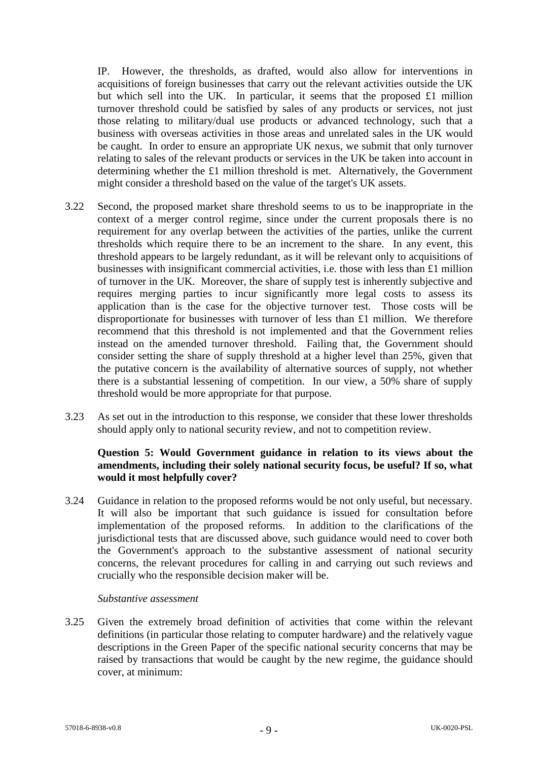IP. However, the thresholds, as drafted, would also allow for interventions in acquisitions of foreign businesses that carry out the relevant activities outside the UK but which sell into the UK. In particular, it seems that the proposed £1 million turnover threshold could be satisfied by sales of any products or services, not just those relating to military/dual use products or advanced technology, such that a business with overseas activities in those areas and unrelated sales in the UK would be caught. In order to ensure an appropriate UK nexus, we submit that only turnover relating to sales of the relevant products or services in the UK be taken into account in determining whether the £1 million threshold is met. Alternatively, the Government might consider a threshold based on the value of the target's UK assets.

- 3.22 Second, the proposed market share threshold seems to us to be inappropriate in the context of a merger control regime, since under the current proposals there is no requirement for any overlap between the activities of the parties, unlike the current thresholds which require there to be an increment to the share. In any event, this threshold appears to be largely redundant, as it will be relevant only to acquisitions of businesses with insignificant commercial activities, i.e. those with less than £1 million of turnover in the UK. Moreover, the share of supply test is inherently subjective and requires merging parties to incur significantly more legal costs to assess its application than is the case for the objective turnover test. Those costs will be disproportionate for businesses with turnover of less than £1 million. We therefore recommend that this threshold is not implemented and that the Government relies instead on the amended turnover threshold. Failing that, the Government should consider setting the share of supply threshold at a higher level than 25%, given that the putative concern is the availability of alternative sources of supply, not whether there is a substantial lessening of competition. In our view, a 50% share of supply threshold would be more appropriate for that purpose.
- 3.23 As set out in the introduction to this response, we consider that these lower thresholds should apply only to national security review, and not to competition review.

# **Question 5: Would Government guidance in relation to its views about the amendments, including their solely national security focus, be useful? If so, what would it most helpfully cover?**

3.24 Guidance in relation to the proposed reforms would be not only useful, but necessary. It will also be important that such guidance is issued for consultation before implementation of the proposed reforms. In addition to the clarifications of the jurisdictional tests that are discussed above, such guidance would need to cover both the Government's approach to the substantive assessment of national security concerns, the relevant procedures for calling in and carrying out such reviews and crucially who the responsible decision maker will be.

#### *Substantive assessment*

3.25 Given the extremely broad definition of activities that come within the relevant definitions (in particular those relating to computer hardware) and the relatively vague descriptions in the Green Paper of the specific national security concerns that may be raised by transactions that would be caught by the new regime, the guidance should cover, at minimum: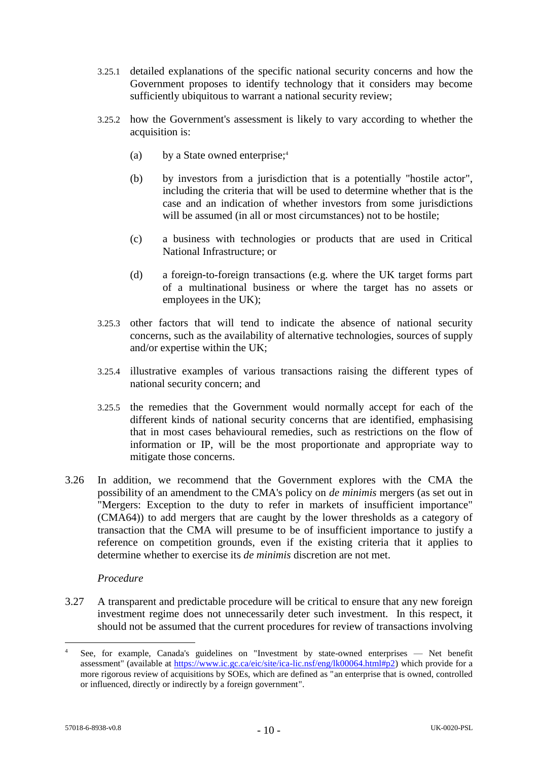- 3.25.1 detailed explanations of the specific national security concerns and how the Government proposes to identify technology that it considers may become sufficiently ubiquitous to warrant a national security review;
- 3.25.2 how the Government's assessment is likely to vary according to whether the acquisition is:
	- (a) by a State owned enterprise; 4
	- (b) by investors from a jurisdiction that is a potentially "hostile actor", including the criteria that will be used to determine whether that is the case and an indication of whether investors from some jurisdictions will be assumed (in all or most circumstances) not to be hostile;
	- (c) a business with technologies or products that are used in Critical National Infrastructure; or
	- (d) a foreign-to-foreign transactions (e.g. where the UK target forms part of a multinational business or where the target has no assets or employees in the UK);
- 3.25.3 other factors that will tend to indicate the absence of national security concerns, such as the availability of alternative technologies, sources of supply and/or expertise within the UK;
- 3.25.4 illustrative examples of various transactions raising the different types of national security concern; and
- 3.25.5 the remedies that the Government would normally accept for each of the different kinds of national security concerns that are identified, emphasising that in most cases behavioural remedies, such as restrictions on the flow of information or IP, will be the most proportionate and appropriate way to mitigate those concerns.
- 3.26 In addition, we recommend that the Government explores with the CMA the possibility of an amendment to the CMA's policy on *de minimis* mergers (as set out in "Mergers: Exception to the duty to refer in markets of insufficient importance" (CMA64)) to add mergers that are caught by the lower thresholds as a category of transaction that the CMA will presume to be of insufficient importance to justify a reference on competition grounds, even if the existing criteria that it applies to determine whether to exercise its *de minimis* discretion are not met.

#### *Procedure*

3.27 A transparent and predictable procedure will be critical to ensure that any new foreign investment regime does not unnecessarily deter such investment. In this respect, it should not be assumed that the current procedures for review of transactions involving

1

See, for example, Canada's guidelines on "Investment by state-owned enterprises - Net benefit assessment" (available at https://www.ic.gc.ca/eic/site/ica-lic.nsf/eng/lk00064.html#p2) which provide for a more rigorous review of acquisitions by SOEs, which are defined as "an enterprise that is owned, controlled or influenced, directly or indirectly by a foreign government".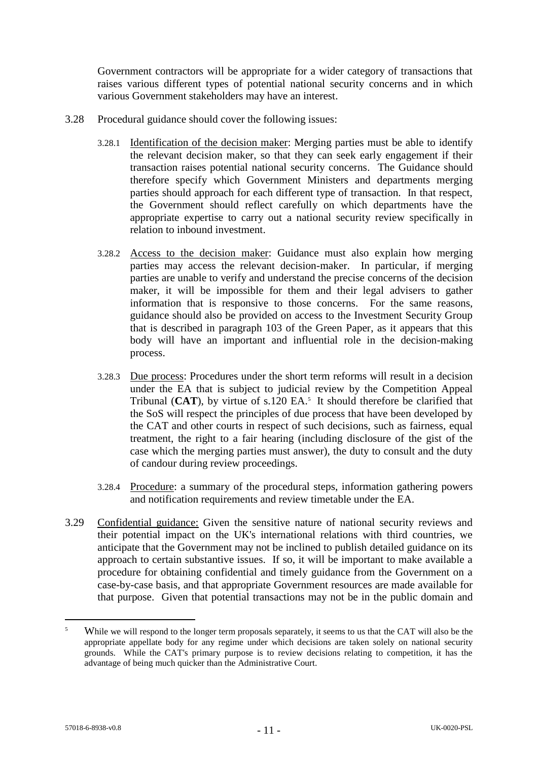Government contractors will be appropriate for a wider category of transactions that raises various different types of potential national security concerns and in which various Government stakeholders may have an interest.

- 3.28 Procedural guidance should cover the following issues:
	- 3.28.1 Identification of the decision maker: Merging parties must be able to identify the relevant decision maker, so that they can seek early engagement if their transaction raises potential national security concerns. The Guidance should therefore specify which Government Ministers and departments merging parties should approach for each different type of transaction. In that respect, the Government should reflect carefully on which departments have the appropriate expertise to carry out a national security review specifically in relation to inbound investment.
	- 3.28.2 Access to the decision maker: Guidance must also explain how merging parties may access the relevant decision-maker. In particular, if merging parties are unable to verify and understand the precise concerns of the decision maker, it will be impossible for them and their legal advisers to gather information that is responsive to those concerns. For the same reasons, guidance should also be provided on access to the Investment Security Group that is described in paragraph 103 of the Green Paper, as it appears that this body will have an important and influential role in the decision-making process.
	- 3.28.3 Due process: Procedures under the short term reforms will result in a decision under the EA that is subject to judicial review by the Competition Appeal Tribunal  $(CAT)$ , by virtue of s.120 EA.<sup>5</sup> It should therefore be clarified that the SoS will respect the principles of due process that have been developed by the CAT and other courts in respect of such decisions, such as fairness, equal treatment, the right to a fair hearing (including disclosure of the gist of the case which the merging parties must answer), the duty to consult and the duty of candour during review proceedings.
	- 3.28.4 Procedure: a summary of the procedural steps, information gathering powers and notification requirements and review timetable under the EA.
- 3.29 Confidential guidance: Given the sensitive nature of national security reviews and their potential impact on the UK's international relations with third countries, we anticipate that the Government may not be inclined to publish detailed guidance on its approach to certain substantive issues. If so, it will be important to make available a procedure for obtaining confidential and timely guidance from the Government on a case-by-case basis, and that appropriate Government resources are made available for that purpose. Given that potential transactions may not be in the public domain and

<u>.</u>

<sup>&</sup>lt;sup>5</sup> While we will respond to the longer term proposals separately, it seems to us that the CAT will also be the appropriate appellate body for any regime under which decisions are taken solely on national security grounds. While the CAT's primary purpose is to review decisions relating to competition, it has the advantage of being much quicker than the Administrative Court.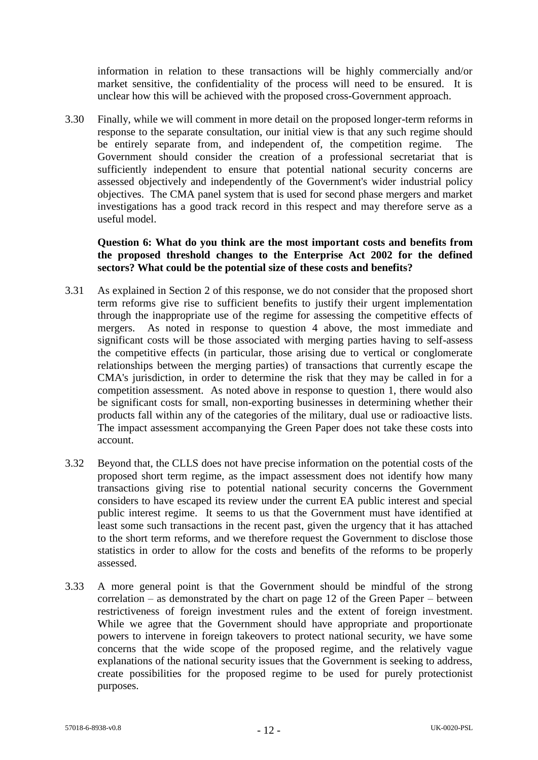information in relation to these transactions will be highly commercially and/or market sensitive, the confidentiality of the process will need to be ensured. It is unclear how this will be achieved with the proposed cross-Government approach.

3.30 Finally, while we will comment in more detail on the proposed longer-term reforms in response to the separate consultation, our initial view is that any such regime should be entirely separate from, and independent of, the competition regime. The Government should consider the creation of a professional secretariat that is sufficiently independent to ensure that potential national security concerns are assessed objectively and independently of the Government's wider industrial policy objectives. The CMA panel system that is used for second phase mergers and market investigations has a good track record in this respect and may therefore serve as a useful model.

### **Question 6: What do you think are the most important costs and benefits from the proposed threshold changes to the Enterprise Act 2002 for the defined sectors? What could be the potential size of these costs and benefits?**

- 3.31 As explained in Section 2 of this response, we do not consider that the proposed short term reforms give rise to sufficient benefits to justify their urgent implementation through the inappropriate use of the regime for assessing the competitive effects of mergers. As noted in response to question 4 above, the most immediate and significant costs will be those associated with merging parties having to self-assess the competitive effects (in particular, those arising due to vertical or conglomerate relationships between the merging parties) of transactions that currently escape the CMA's jurisdiction, in order to determine the risk that they may be called in for a competition assessment. As noted above in response to question 1, there would also be significant costs for small, non-exporting businesses in determining whether their products fall within any of the categories of the military, dual use or radioactive lists. The impact assessment accompanying the Green Paper does not take these costs into account.
- 3.32 Beyond that, the CLLS does not have precise information on the potential costs of the proposed short term regime, as the impact assessment does not identify how many transactions giving rise to potential national security concerns the Government considers to have escaped its review under the current EA public interest and special public interest regime. It seems to us that the Government must have identified at least some such transactions in the recent past, given the urgency that it has attached to the short term reforms, and we therefore request the Government to disclose those statistics in order to allow for the costs and benefits of the reforms to be properly assessed.
- 3.33 A more general point is that the Government should be mindful of the strong correlation – as demonstrated by the chart on page 12 of the Green Paper – between restrictiveness of foreign investment rules and the extent of foreign investment. While we agree that the Government should have appropriate and proportionate powers to intervene in foreign takeovers to protect national security, we have some concerns that the wide scope of the proposed regime, and the relatively vague explanations of the national security issues that the Government is seeking to address, create possibilities for the proposed regime to be used for purely protectionist purposes.